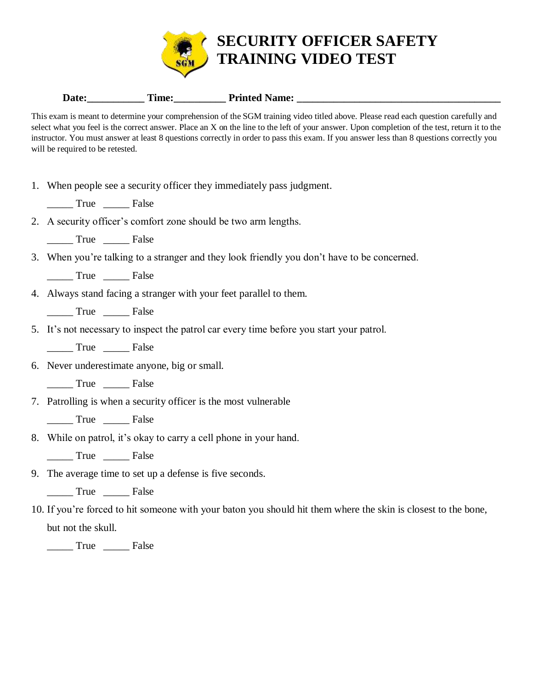

| $\mathbf{r}$<br><b>Date</b> | Time: | Printed<br><b>Name:</b> |
|-----------------------------|-------|-------------------------|
|                             |       |                         |

This exam is meant to determine your comprehension of the SGM training video titled above. Please read each question carefully and select what you feel is the correct answer. Place an X on the line to the left of your answer. Upon completion of the test, return it to the instructor. You must answer at least 8 questions correctly in order to pass this exam. If you answer less than 8 questions correctly you will be required to be retested.

- 1. When people see a security officer they immediately pass judgment.
	- True False
- 2. A security officer's comfort zone should be two arm lengths.
	- \_\_\_\_\_ True \_\_\_\_\_ False
- 3. When you're talking to a stranger and they look friendly you don't have to be concerned.

\_\_\_\_\_ True \_\_\_\_\_ False

4. Always stand facing a stranger with your feet parallel to them.

\_\_\_\_\_ True \_\_\_\_\_ False

5. It's not necessary to inspect the patrol car every time before you start your patrol.

\_\_\_\_\_ True \_\_\_\_\_ False

6. Never underestimate anyone, big or small.

True False

7. Patrolling is when a security officer is the most vulnerable

True False

8. While on patrol, it's okay to carry a cell phone in your hand.

\_\_\_\_\_ True \_\_\_\_\_ False

9. The average time to set up a defense is five seconds.

\_\_\_\_\_ True \_\_\_\_\_ False

10. If you're forced to hit someone with your baton you should hit them where the skin is closest to the bone, but not the skull.

\_\_\_\_\_ True \_\_\_\_\_ False